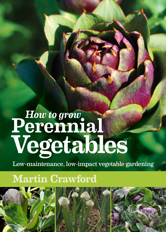# Perennial Vegetables *How to grow*

## Low-maintenance, low-impact vegetable gardening

## Martin Crawford

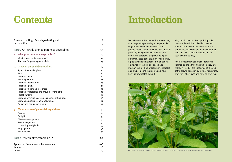## **Contents**

| Foreword by Hugh Fearnley-Whittingstall<br>Introduction | 8<br>9   |
|---------------------------------------------------------|----------|
| <b>Part 1</b> An introduction to perennial vegetables   | 13       |
| Why grow perennial vegetables?<br>1.                    | 14       |
| What is a perennial vegetable?                          | 15       |
| The case for growing perennials                         | 15       |
| 2. Growing perennial vegetables                         | 19       |
| Types of perennial plant                                | 20       |
| Soils                                                   | 22       |
| Perennial beds                                          | 22       |
| Planting patterns<br>Perennial polycultures             | 24       |
| Perennial grains                                        | 26<br>29 |
| Perennial tuber and root crops                          | 30       |
| Perennial vegetables and ground-cover plants            | 30       |
| Forest gardens                                          | 34       |
| Growing perennial vegetables under existing trees       | 36       |
| Growing aquatic perennial vegetables                    | 37       |
| Native and non-native plants                            | 39       |
| <b>Maintenance of perennial vegetables</b><br>3.        | 40       |
| Feeding                                                 | 41       |
| Soil pH                                                 | 49       |
| Disease management                                      | 50       |
| Pest management<br>Harvesting and yields                | 50       |
| Propagation                                             | 53<br>54 |
| Maintenance                                             | 61       |
| Part 2 Perennial vegetables A-Z                         | 65       |
| Appendix: Common and Latin names                        | 206      |
| Resources                                               | 216      |
| Index                                                   | 219      |

## Introduction

We in Europe or North America are not very used to growing or eating many perennial vegetables. There are a few that most people know – globe artichoke and rhubarb probably being the most familiar – and some, like potatoes, are grown as replant perennials (see page 21). However, the way agriculture has developed, into an almost entirely short-lived-plant-based and mechanised method of growing vegetables and grains, means that perennials have been somewhat left behind.

Why should this be? Perhaps it is partly because the soil is easily tilled between annual crops to keep it weed-free. With perennials, once they are established then mechanical or chemical weeding is not usually quite so easy.

Another factor is yield. Most short-lived vegetables are either killed when they are first harvested or are exhausted at the end of the growing season by regular harvesting. They have short lives and have to grow fast.



*Poke root – a North American wild edible than it is easy to grow. The cooked shoots are delicious.*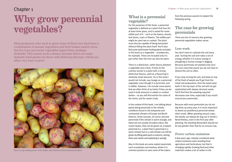## Chapter 1

# Why grow perennial vegetables?

Most gardeners who want to grow some of their own food have a combination of annual vegetables and fruit bushes and/or trees, but few have perennial vegetables (apart from, perhaps, rhubarb). This seems such a shame, because there are some fantastic food plants out there with delicious flavours, which are often very easy to grow.



Oca is a crop widely grown in the Andes, with delicious lemon-flavoured tubers. **The community community of carbon** in the common practice to save some of the tubers materials creates a lot of carbon in the

### What is a perennial vegetable?

For the purposes of this book, a perennial vegetable is defined as a plant that lives for at least three years, and is raised for some edible part of it – such as the leaves, shoots, leaf stems, roots or flowers. The edible part might be used raw or cooked. The plant must also be capable of being harvested without killing the plant itself. You'll also find some well-known fruiting plants included in this book as a vegetable – strawberries, for example. These are included only if a part other than the fruit can also be eaten.

There is a distinction, rather blurry, between a vegetable and a herb. A herb (in the culinary sense) is a plant with a strong distinctive flavour, used as a flavouring in relatively small amounts. So in this book I would not include, say, lovage as a perennial vegetable, even though it is perennial, and is edible. However, I do include some plants that we often think of as herbs if they can be used in bulk amounts in salads or cooked dishes – so you will find entries for some of the mints, and for sweet cicely.

In the context of this book, I am talking about plants being perennials in the climatic conditions found in the temperate and continental climates of Europe and North America. Some annuals, of course, become perennials if the climate is warm enough, and these are not usually included unless, like runner beans, they can be grown as a replant perennial (i.e. a plant that is perennial in a warm climate but in a cold climate can still be grown by lifting plant parts in autumn, storing them over winter and replanting in spring).

Also in this book are some replant perennials such as potatoes and mashua, where it is common practice to save some of the tubers

from the previous autumn to replant the following spring.

### The case for growing perennials

There are lots of reasons why growing perennial vegetables makes sense.

### Less work

You don't have to cultivate the soil every year. Turning the soil over takes a lot of energy, whether it is tractor energy in ploughing or human energy in digging. Because perennials are planted only once (or once every few years) you do not have to disturb the soil so often.

If you stop turning the soil, and keep on top of the flush of weeds you'll get from the initial soil preparation, then the weed seed bank in the top layer of the soil will not get replenished with deeper dormant seeds. You'll find that the weeding required decreases over time, especially if you mulch around your perennials.

Because with most perennials you do not dig them up every year, it is more important to weed out pestiferous perennial weeds when small. (When growing annual crops, the weeds can always be dug out in winter.) Nevertheless, even in the first year after planting, the weeding demanded should not be any greater than that for an annual crop.

### Fewer carbon emissions

A few years ago, nobody considered what carbon emissions were resulting from agriculture and horticulture, but that is changing rapidly. Growing food and other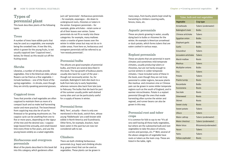### Types of perennial plant

This book describes plants of the following types.

### Trees

A number of trees have edible parts that may be used as a vegetable, one example being the snowbell tree. A tree like this, which is grown for the young fruits, is not usually coppiced (see 'Coppiced trees', below, for these) as this would cut off the fruiting wood.

### Shrubs

Likewise, a number of shrubs provide vegetables. One is the American elder, whose flowers can be fried as a fine vegetable. I include bamboos – one of the finest of the spring vegetables – in shrubs, even though they are strictly speaking perennial grasses.

### Coppiced trees

Trees that provide a leaf vegetable are often coppiced to maintain them as more of a compact bush and so make leaf harvesting easier and more practical. The branchwood from coppicing may also be of use for firewood or for growing mushrooms on. The coppice cycle can be anything from one to five or more years, depending on the vigour of the tree and the desired size. I coppice large-leaved lime annually, and small-leaved lime every three to five years, and use the young leaves widely as a salad vegetable.

### Herbaceous and evergreen perennials

Most of the plants described in this book fall into this category, which gardeners often

just call 'perennials'. Herbaceous perennials – for example, asparagus – die down to underground roots, rhizomes or tubers in the winter. Evergreen perennials – for example, globe artichoke – retain some or all of their leaves over winter. Some perennials do not fit so neatly into these categories: for example, many mallows retain a rosette of green leaves over the winter in milder areas but may not do so in colder areas. From here on, herbaceous and evergreen perennials will be referred to as 'non-woody perennials'.

### Perennial bulbs

The alliums are good examples of perennial bulbs, and there are several described in this book. The top growth of bulbous plants usually dies back for a part of the year – though not necessarily winter. So, for example, Babington's leek dies back to a bulb from late July to early September, whereas ramsons dies back from late June to February. The bulbs that die back for part of the summer usually prefer well-drained sunny sites and can be particularly useful for a supply of leaves in winter.

### Perennial ferns

Well, 'fern', actually – there is only one mentioned in this book, ostrich fern, whose young 'fiddleheads' are a well-known wild edible in North America and Scandinavia. Other ferns, for example, bracken, have been eaten in the past but are now not considered safe to eat.

### Climbers

There are both climbing herbaceous perennials (e.g. hops) and climbing shrubs (e.g. grape vines) that can be used as vegetables. These plants can be grown in

many ways, from bushy plants kept small by harvesting to climbers covering walls, fences, trees, etc.

### Aquatic perennials

These are plants growing in water, usually dying back to bulbs or rhizomes for the winter. An example is American arrowhead or duck potato, which forms tubers that are eaten cooked in various ways.

### Replant perennials

These are plants that are perennial in warm climates and sometimes mild temperate climates, usually producing tubers or rhizomes, but are not hardy enough to survive winters in colder temperate climates. I have included some of these in the book, even though they are not truly perennial in colder regions, because plants like mashua and cinnamon vine or Chinese yam can be grown in some milder temperate regions such as the south of England, and in warmer microclimates. Potato is a replant perennial (though the ones that evade harvesting often survive the winter and regrow), and runner beans can also be grown in this way.

### Perennial root and tuber crops

It is common for folk to say to me "It's all very well having all these leafy vegetables, but where are the substantial bulb and root vegetables to take the place of onions, carrots and parsnips, etc.?" Well, several of the above categories of vegetable have roots or tubers as the main crop. These are listed in the table, right.

| Tuber, bulb and root vegetables |                      |  |
|---------------------------------|----------------------|--|
| Vegetable                       | <b>Crop type</b>     |  |
| Arrowheads                      | Tubers (underwater)  |  |
| Babington's leek                | <b>Bulbs</b>         |  |
| Chinese artichoke               | <b>Tubers</b>        |  |
| Egyptian onion                  | <b>Bulbs</b>         |  |
| Elephant garlic                 | <b>Bulbs</b>         |  |
| Garlic                          | <b>Bulbs</b>         |  |
| Groundnut                       | <b>Tubers</b>        |  |
| Jerusalem artichoke             | <b>Tubers</b>        |  |
| Marsh mallow                    | Roots                |  |
| Mashua                          | <b>Tubers</b>        |  |
| <b>Multiplier onions</b>        | <b>Bulbs</b>         |  |
| <b>Oca</b>                      | <b>Tubers</b>        |  |
| Potato                          | <b>Tubers</b>        |  |
| Prairie turnip                  | Roots                |  |
| Rocambole                       | <b>Bulbs</b>         |  |
| Scorzonera                      | Roots                |  |
| Sea kale                        | Roots                |  |
| Silverweed                      | Roots                |  |
| Skirret                         | Roots                |  |
| Sweet cicely                    | Roots                |  |
| Sweet potato                    | <b>Tubers</b>        |  |
| Ulluco                          | <b>Tubers</b>        |  |
| Water caltrop                   | Tubers (underwater)  |  |
| Water chestnut                  | Tubers (underwater)  |  |
| <b>Water lotus</b>              | Rhizomes(underwater) |  |
| Yacon                           | <b>Tubers</b>        |  |
| Yams                            | <b>Tubers</b>        |  |
| Yellow asphodel                 | Roots                |  |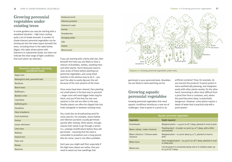### Growing perennial vegetables under existing trees

In some gardens you may be starting with a woodland situation – high trees casting quite a lot of shade beneath. A number of shade-tolerant perennial vegetables can be introduced into the lower layers beneath the trees, including those in the table below. (Again, this table shows plants with tolerance to substantial shade, but does not indicate the total range of light conditions that each plant can tolerate.)

| Perennial vegetables tolerating<br>substantial shade |
|------------------------------------------------------|
| Apple mint                                           |
| Babington's leek, perennial leek                     |
| <b>Bamboos</b>                                       |
| <b>Beech trees</b>                                   |
| <b>Bellflowers</b>                                   |
| Bowles's mint                                        |
| Columbine                                            |
| Daffodil garlic                                      |
| Dandelion                                            |
| <b>False strawberry</b>                              |
| Giant butterbur                                      |
| <b>Hostas</b>                                        |
| Lesser stitchwort                                    |
| Lime trees                                           |
| <b>Mallows</b>                                       |
| Ostrich fern                                         |
| Poke root                                            |
| Ramps                                                |
| Ramsons                                              |

| Redwood sorrel          |
|-------------------------|
| Siberian purslane       |
| Solomon's seals         |
| Sorrels                 |
| <b>Strawberries</b>     |
| <b>Stringing nettle</b> |
| Udo                     |
| <b>Violets</b>          |
| <b>Wood sorrel</b>      |
|                         |

If you are starting with a fairly wild site, then beneath the trees you are likely to have a mixture of brambles, nettles, seedling trees and other plants. You'll obviously need to clear areas of these before planting out perennial vegetables, and using sheet mulches is the obvious way to do it – you won't be able to easily dig over the soil because of the root systems of the trees.

Once areas have been cleared, then planting out small plants is the best way to proceed – larger ones will need bigger holes dug for them, and you'll find that the tree root systems in the soil are often in the way. Smaller plants can often be slipped into tiny holes alongside or between existing roots.

You could also try broadcasting seed for some species. For example, wood mallow and Siberian purslane usually germinate quickly after sowing. Other plants, though, require their seeds to go through a winter (i.e. undergo stratification) before they will germinate – meaning that the seed is vulnerable to predation over a long period. Also for some, seed is not often available.

Each year you might well find, especially if the high trees above are native, that you need to weed out tree seedlings that



*Diagram 10. Growing perennial vegetables under trees.*

germinate in your perennial beds. Brambles too are likely to need watching out for.

### Growing aquatic perennial vegetables

Growing perennial vegetables that need aquatic conditions introduces a new set of challenges. How to grow in a pond or an

artificial container? How, for example, do you harvest the produce? A pond system is more aesthetically pleasing, and integrates easily with other plants nearby. On the other hand, harvesting is often more difficult from a pond than from a container, and, where the pond becomes deep, is potentially dangerous. However, some plants require a depth of water that is practical only with a pond system.

| <b>Aquatic perennial vegetables</b>        |                                                                                   |  |
|--------------------------------------------|-----------------------------------------------------------------------------------|--|
| Vegetable                                  | Depth required                                                                    |  |
| Arrowheads                                 | Marginal plants $-$ 0-45cm (0-18") deep, planted in mud or pots                   |  |
| Water caltrop / water chestnut             | Floating plant – in water 10-30cm $(4-12)$ deep, with a little<br>soil beneath    |  |
| Water chestnut / Chinese water<br>chestnut | Marginal plant – 10-30cm deep $(4-12)$ , planted in mud or<br>pots                |  |
| Water lotus                                | Semi-marginal plant $-$ 30-45cm (12-18") deep, planted in mud<br>or deep pots     |  |
| <b>Watercress</b>                          | Can be grown in constantly damp soil or in shallow water up<br>to $15cm(6")$ deep |  |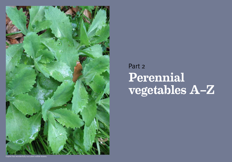

# Perennial vegetables A–Z Part 2

Orpine has wonderfully succulent edible leaves*.*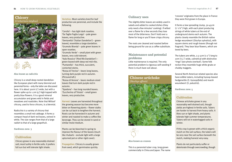### **Chicory** (*Cichorium intybus*)



#### **Also known as radicchio**

Chicory is a small deep-rooted dandelionlike European plant with many biennial and perennial forms – only the latter are discussed here. It is about 30cm (1') wide, but with a flower spike up to 1.2m  $(4')$  high topped with pretty blue flowers. It is a good mineral accumulator and grows wild in fields and meadows and roadsides. Note that Witloof chicory, used to force chicons, is a biennial.

Radicchio is a variety of chicory that resembles a small red cabbage. It forms a compact head of dark red leaves, veined in white. The size ranges from that of a large radish to that of a large grapefruit.

**Hardiness zone:** 3

### **Cultivation**

Chicory grows in any reasonably drained soil; most lushly in fertile soils. It prefers full sun but will tolerate light shade.

**Varieties:** Most varieties bred for leaf production are perennial, and include the following.

'Cerolio' – has tight dark rosettes. 'Da Taglio Foglia Larga' – pale green leaves, very productive. 'Dentarella' ('Italian Dandelion') – greenleaved, resembles a large dandelion. 'Grumolo Bionda' – pale green leaves in open rosettes. 'Grumolo Verde' – small plant with green

leaves, very cold-tolerant. 'Italo Rossico' ('Red Rib Dandelion') – green-leaved with deep red mid-ribs. 'Puntarella' – has thick, succulent, contorted stems.

'Rossa di Treviso' – bears long leaves, turning dark purple-red in autumn. (Pictured left.)

'Rossa di Verona' – bears medium-sized leaves that turn dark purple-red in autumn.

'Spadona' – has long rounded leaves. 'Zuccherino of Trieste' – small green leaves, very productive.

**Harvest:** Leaves are harvested throughout the growing season but become more bitter on flowering plants – flower stalks can be cut back to lengthen the harvest. Roots can be harvested in autumn and winter and roasted to make a coffee-like beverage. They can be stored in sand or similar moist medium.

Plants can be blanched in spring to improve the flavour of the leaves (much like rhubarb – exclude light with a large upturned pot or other rigid cover).

**Propagation:** Chicory is usually grown from seed, which germinates quickly.

### Culinary uses

The slightly bitter leaves are widely used in salads and added to cooked dishes (they only need a few minutes' cooking). If wilted over a flame for a few seconds they lose most of the bitterness. Don't hold over a flame for long or you'll have crispy chicory.

The roots are cleaned and roasted before being ground for use as a coffee substitute.

### Maintenance and potential problems

Little maintenance is required. The only potential problem is vigorous self-seeding if there is much bare soil about.

### Chinese artichoke (*Stachys affinis*)





**Also known as crosnes**

This is a perennial tuber crop, long grown commercially in China and Japan. The name

'crosnes' originates from the place in France they were first grown in Europe.

It forms a low spreading clump, 30-45cm (1'-1'6") high, with each plant producing strings of white tubers at the end of underground stems each autumn. The plants closely resemble the British native hedge woundwort (*Stachys sylvatica*), with square stems and rough leaves (though not fragrant). They bear blue flowers, which are loved by bees.

The tubers are white, 2.5-5cm (1-2") long to  $2cm (3/a")$  wide, cylindrical with distinctive 'rings' (see photo overleaf). Some folk reckon they resemble huge white grubs or chubby maggots.

Several North American related species also have edible tubers, including hyssop-leaved hedgenettle (*S. hyssopifolia*) and marsh woundwort (*S. palustris*).

**Hardiness zone:** 5

### **Cultivation**

Chinese artichoke grows in any reasonably well-drained soil, though yields are highest in fertile soils. Tubers are harder to harvest from heavy soils. It likes sun or light shade, and plants tolerate high summer temperatures. Tubers will rot in waterlogged soils in winter.

If this crop is grown with a thick organic mulch on the soil surface, the tubers will be very near the soil surface beneath the mulch, making harvest very easy.

Plants do not particularly suffer or deteriorate through overcrowding, though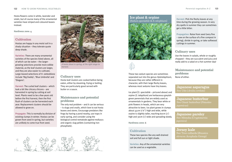Hosta flowers come in white, lavender and violet, but of course many of the ornamental varieties have striped and coloured leaves instead.

**Hardiness zone:** 4

### **Cultivation**

Hostas are happy in any moist soil in a shady situation – they tolerate quote deep shade.

**Varieties:** There are many ornamental varieties of the species listed above, all of which can be eaten – the largergrowing selections provide more edible material, as the leaf clusters are larger, and they are also easier to cultivate. Large-leaved selections of *H. sieboldiana* include 'Big Daddy', 'Blue Umbrella' and 'Elegans'.

**Harvest:** The curled leaf clusters – which look a bit like chicory chicons – are harvested in spring by cutting at soil level. Plants need to be a few years old before the first harvest, then the first flush of clusters can be harvested each year. Replacement clusters should be allowed to grow on.

**Propagate:** This is normally by division of existing clumps in winter. Hostas can be grown from seed in spring, but varieties are unlikely to come true from seed.



*A hosta shoot in spring, at the right stage to harvest.*

#### Culinary uses

Hosta leaf clusters are cooked before being eaten, either by steaming, frying or boiling. They are particularly good served with butter or a sauce.

### Maintenance and potential problems

The only real problem – and it can be serious – is slugs and snails, which love to eat hosta leaves and stems. Encourage predators like frogs by having a pond nearby, use traps in early spring, and consider using the biological control nematode against molluscs and organic slug pellets (containing iron phosphate).







These two sedum species are sometimes separated out into the genus *Hylotelephium*, because they are rather different in character, with their large fleshy leaves, whereas most sedums have tiny leaves.

Ice plant (*S. spectabile* – pictured above) and orpine (*S. telephium*) are herbaceous greyishgreen perennials that are widely used as ornamentals in gardens. They bear white or pink flowers in heads, which are very attractive to bees. Ice plant grows in clumps about  $45cm (1'6'')$  high and wide, while orpine is slightly taller, reaching 60cm (2') high and 30cm (1') wide and spreading slowly.

**Hardiness zone:** 6

### **Cultivation**

These two species like any well-drained soil and full sun or light shade.

**Varieties:** Any of the ornamental varieties can be used as a vegetable.

**Harvest:** Pick the fleshy leaves at any time during the growing season. In very dry spells in summer they can sometimes get a little bitter.

**Propagation:** Raise from seed (very fine – sow on the surface of a fine compost in spring), divide in spring, or take softwood cuttings in summer.

### Culinary uses

Use the leaves in salads, whole or roughly chopped – they are succulent and juicy and really add to a salad on a hot summer day!

Maintenance and potential problems None of either.

Japanese asparagus See Udo (*Aralia cordata*)

Japanese butterbur See Giant butterbur (*Petasites japonicus*)

Japanese parsley See Mitsuba (*Cryptotaenia japonica*)

Jersey kale See Tree collards (*Brassica oleracea* Acephala Group)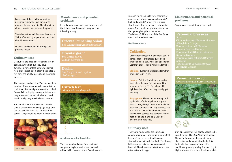Leave some tubers in the ground for perennial regrowth. Take care not to damage them as you dig. They form in a clump close to the centre of the plants.

The tubers store well in a cool dark place. Yields of at least 500g (1lb 2oz) per plant should be obtained.

Leaves can be harvested through the growing season.

### Culinary uses

Oca tubers are excellent for eating raw or cooked. When first dug they have sweet-acid flavour (the lemony acidity is from oxalic acid), but if left in the sun for a few days the acidity lessens and they taste sweeter.

They do not need peeling. You can use them in salads (they are crunchy like carrots), or cook them like small potatoes – the cooked flavour is like slightly lemony potatoes and they are superb served with butter or oil. Nutritionally, they are similar to potatoes.

You can also eat the leaves, which taste similar to wood sorrel (see page 200), and can be used in salads, etc. As with other sorrels, they should be eaten in moderation.



*Oca tubers.*

### Maintenance and potential problems

In cold areas, make sure you store some of the tubers over the winter to replant the following spring.

Oriental bunching onion See Welsh onion (*Allium fistulosum*)

Oriental garlic See Garlic chives (*Allium tuberosum*)

**Orpine** See Ice plant and orpine (*Sedum* spp.)

### Ostrich fern (*Matteuccia struthiopteris*)



### **Also known as shuttlecock fern**

This is a very hardy fern from northern temperate regions, well known as a wild edible in North America and Scandinavia. It

spreads via rhizomes to form colonies of plants, each of which can reach 1.5m (5') high and 60cm (2') wide. The ferns are shuttlecock-shaped, hence its alternative name. The curled young shoots uncurl as they grow, giving them the name 'fiddleheads'. This is one of the few ferns now considered safe to eat.

**Hardiness zone:** 2

### **Cultivation**

Ostrich fern will grow in any moist soil in some shade – it tolerates quite deep shade and acid soil. Plant at a spacing of 60cm  $(2')$  or so – plants will spread in time.

**Varieties:** 'Jumbo' is a vigorous form that grows  $2m(6'6")$  high.

**Harvest:** Pick the fiddleheads in spring from when they are first seen until they are  $5-6$ cm (2-2  $1/2$ ") high when still tightly curled. After this they rapidly get too tough.

**Propagation:** Plants can be propagated by division of existing clumps or grown from spores, though these are not always available commercially. They are dust-like and difficult to handle, and need to be sown on the surface of a compost that is kept moist and in shade. Division of existing clumps is easy.

### Culinary uses

The young fiddleheads are eaten as a cooked vegetable – boil for 15 minutes (not less, as they can occasionally cause stomach upsets if undercooked). The flavour is like a cross between asparagus and broccoli. They have a crisp texture and are often eaten with eggs.

Maintenance and potential problems

No problems or maintenance needed.

### Perennial brassicas

Chinese broccoli (*Brassica oleracea*  Alboglabra Group); Perennial broccoli (*Brassica oleracea* Botrytis Group); Perennial kale (*Brassica oleracea*  Ramosa Group); Perennial wild cabbage (*Brassica oleracea*); Tree collards (*Brassica oleracea* 

### Perennial broccoli

(*Brassica oleracea* Botrytis Group)





Only one variety of this plant appears to be in cultivation, 'Nine Star' (pictured above. The white flowers are lesser stitchwort – also edible and a good interplant). This looks identical to normal broccoli or cauliflower plants, growing 60-90cm (2-3') high and wide. It is a short-lived perennial,